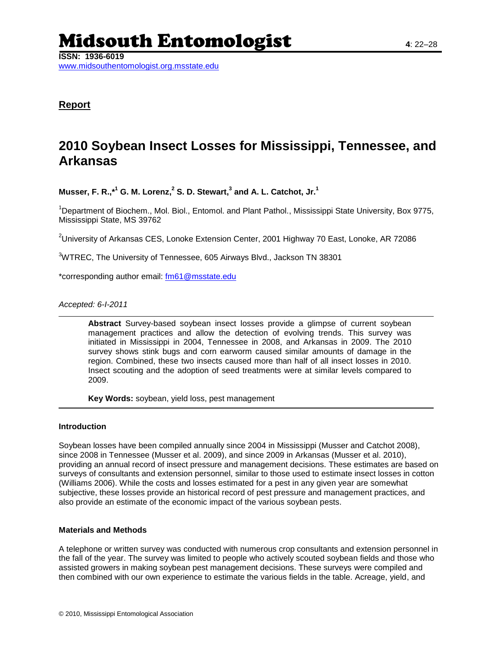# Midsouth Entomologist **<sup>4</sup>**: 22–28

**ISSN: 1936-6019** www.midsouthentomologist.org.msstate.edu

**Report**

# **2010 Soybean Insect Losses for Mississippi, Tennessee, and Arkansas**

**Musser, F. R.,\* <sup>1</sup> G. M. Lorenz, 2 S. D. Stewart, 3 and A. L. Catchot, Jr. 1**

<sup>1</sup>Department of Biochem., Mol. Biol., Entomol. and Plant Pathol., Mississippi State University, Box 9775, Mississippi State, MS 39762

 $2$ University of Arkansas CES, Lonoke Extension Center, 2001 Highway 70 East, Lonoke, AR 72086

<sup>3</sup>WTREC, The University of Tennessee, 605 Airways Blvd., Jackson TN 38301

\*corresponding author email: [fm61@msstate.edu](mailto:fm61@msstate.edu)

# *Accepted: 6-I-2011*

**Abstract** Survey-based soybean insect losses provide a glimpse of current soybean management practices and allow the detection of evolving trends. This survey was initiated in Mississippi in 2004, Tennessee in 2008, and Arkansas in 2009. The 2010 survey shows stink bugs and corn earworm caused similar amounts of damage in the region. Combined, these two insects caused more than half of all insect losses in 2010. Insect scouting and the adoption of seed treatments were at similar levels compared to 2009.

**Key Words:** soybean, yield loss, pest management

# **Introduction**

Soybean losses have been compiled annually since 2004 in Mississippi (Musser and Catchot 2008), since 2008 in Tennessee (Musser et al. 2009), and since 2009 in Arkansas (Musser et al. 2010), providing an annual record of insect pressure and management decisions. These estimates are based on surveys of consultants and extension personnel, similar to those used to estimate insect losses in cotton (Williams 2006). While the costs and losses estimated for a pest in any given year are somewhat subjective, these losses provide an historical record of pest pressure and management practices, and also provide an estimate of the economic impact of the various soybean pests.

# **Materials and Methods**

A telephone or written survey was conducted with numerous crop consultants and extension personnel in the fall of the year. The survey was limited to people who actively scouted soybean fields and those who assisted growers in making soybean pest management decisions. These surveys were compiled and then combined with our own experience to estimate the various fields in the table. Acreage, yield, and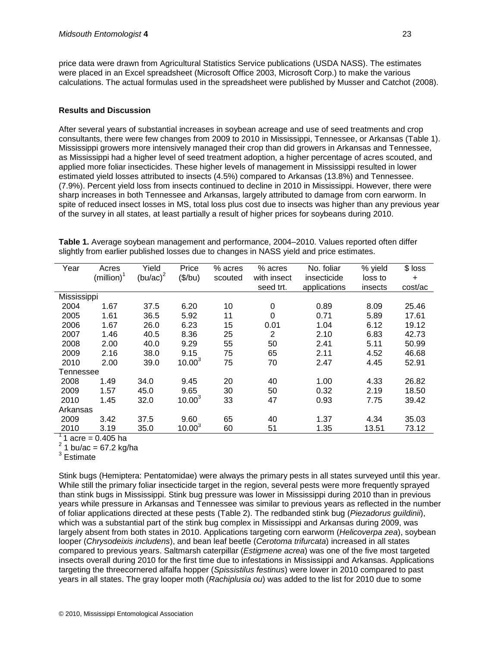price data were drawn from Agricultural Statistics Service publications (USDA NASS). The estimates were placed in an Excel spreadsheet (Microsoft Office 2003, Microsoft Corp.) to make the various calculations. The actual formulas used in the spreadsheet were published by Musser and Catchot (2008).

# **Results and Discussion**

After several years of substantial increases in soybean acreage and use of seed treatments and crop consultants, there were few changes from 2009 to 2010 in Mississippi, Tennessee, or Arkansas (Table 1). Mississippi growers more intensively managed their crop than did growers in Arkansas and Tennessee, as Mississippi had a higher level of seed treatment adoption, a higher percentage of acres scouted, and applied more foliar insecticides. These higher levels of management in Mississippi resulted in lower estimated yield losses attributed to insects (4.5%) compared to Arkansas (13.8%) and Tennessee. (7.9%). Percent yield loss from insects continued to decline in 2010 in Mississippi. However, there were sharp increases in both Tennessee and Arkansas, largely attributed to damage from corn earworm. In spite of reduced insect losses in MS, total loss plus cost due to insects was higher than any previous year of the survey in all states, at least partially a result of higher prices for soybeans during 2010.

| Year        | Acres                   | Yield       | Price       | % acres | % acres     | No. foliar   | % yield | $$$ loss  |
|-------------|-------------------------|-------------|-------------|---------|-------------|--------------|---------|-----------|
|             | (million) $^{\text{I}}$ | $(bu/ac)^2$ | (\$/bu)     | scouted | with insect | insecticide  | loss to | $\ddot{}$ |
|             |                         |             |             |         | seed trt.   | applications | insects | cost/ac   |
| Mississippi |                         |             |             |         |             |              |         |           |
| 2004        | 1.67                    | 37.5        | 6.20        | 10      | 0           | 0.89         | 8.09    | 25.46     |
| 2005        | 1.61                    | 36.5        | 5.92        | 11      | 0           | 0.71         | 5.89    | 17.61     |
| 2006        | 1.67                    | 26.0        | 6.23        | 15      | 0.01        | 1.04         | 6.12    | 19.12     |
| 2007        | 1.46                    | 40.5        | 8.36        | 25      | 2           | 2.10         | 6.83    | 42.73     |
| 2008        | 2.00                    | 40.0        | 9.29        | 55      | 50          | 2.41         | 5.11    | 50.99     |
| 2009        | 2.16                    | 38.0        | 9.15        | 75      | 65          | 2.11         | 4.52    | 46.68     |
| 2010        | 2.00                    | 39.0        | $10.00^{3}$ | 75      | 70          | 2.47         | 4.45    | 52.91     |
| Tennessee   |                         |             |             |         |             |              |         |           |
| 2008        | 1.49                    | 34.0        | 9.45        | 20      | 40          | 1.00         | 4.33    | 26.82     |
| 2009        | 1.57                    | 45.0        | 9.65        | 30      | 50          | 0.32         | 2.19    | 18.50     |
| 2010        | 1.45                    | 32.0        | $10.00^{3}$ | 33      | 47          | 0.93         | 7.75    | 39.42     |
| Arkansas    |                         |             |             |         |             |              |         |           |
| 2009        | 3.42                    | 37.5        | 9.60        | 65      | 40          | 1.37         | 4.34    | 35.03     |
| 2010        | 3.19                    | 35.0        | $10.00^{3}$ | 60      | 51          | 1.35         | 13.51   | 73.12     |

**Table 1.** Average soybean management and performance, 2004–2010. Values reported often differ slightly from earlier published losses due to changes in NASS yield and price estimates.

 $1$  acre = 0.405 ha

 $^2$  1 bu/ac = 67.2 kg/ha

<sup>3</sup> Estimate

Stink bugs (Hemiptera: Pentatomidae) were always the primary pests in all states surveyed until this year. While still the primary foliar insecticide target in the region, several pests were more frequently sprayed than stink bugs in Mississippi. Stink bug pressure was lower in Mississippi during 2010 than in previous years while pressure in Arkansas and Tennessee was similar to previous years as reflected in the number of foliar applications directed at these pests (Table 2). The redbanded stink bug (*Piezadorus guildinii*), which was a substantial part of the stink bug complex in Mississippi and Arkansas during 2009, was largely absent from both states in 2010. Applications targeting corn earworm (*Helicoverpa zea*), soybean looper (*Chrysodeixis includens*), and bean leaf beetle (*Cerotoma trifurcata*) increased in all states compared to previous years. Saltmarsh caterpillar (*Estigmene acrea*) was one of the five most targeted insects overall during 2010 for the first time due to infestations in Mississippi and Arkansas. Applications targeting the threecornered alfalfa hopper (*Spissistilus festinus*) were lower in 2010 compared to past years in all states. The gray looper moth (*Rachiplusia ou*) was added to the list for 2010 due to some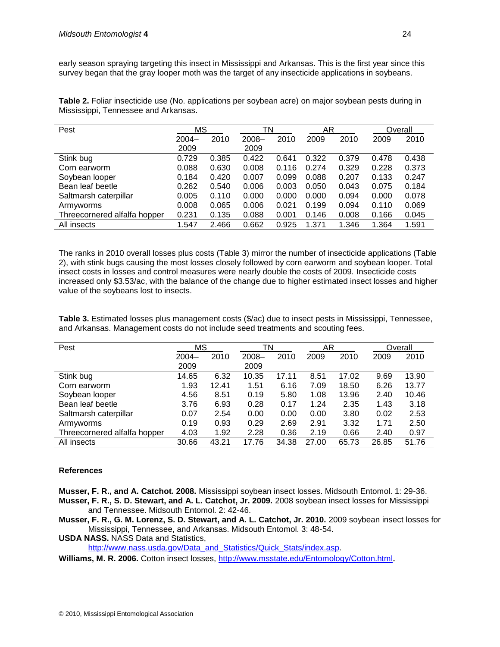early season spraying targeting this insect in Mississippi and Arkansas. This is the first year since this survey began that the gray looper moth was the target of any insecticide applications in soybeans.

**Table 2.** Foliar insecticide use (No. applications per soybean acre) on major soybean pests during in Mississippi, Tennessee and Arkansas.

| Pest                         | МS    |       | TN       |       | AR    |       |       | Overall |
|------------------------------|-------|-------|----------|-------|-------|-------|-------|---------|
|                              | 2004- | 2010  | $2008 -$ | 2010  | 2009  | 2010  | 2009  | 2010    |
|                              | 2009  |       | 2009     |       |       |       |       |         |
| Stink bug                    | 0.729 | 0.385 | 0.422    | 0.641 | 0.322 | 0.379 | 0.478 | 0.438   |
| Corn earworm                 | 0.088 | 0.630 | 0.008    | 0.116 | 0.274 | 0.329 | 0.228 | 0.373   |
| Soybean looper               | 0.184 | 0.420 | 0.007    | 0.099 | 0.088 | 0.207 | 0.133 | 0.247   |
| Bean leaf beetle             | 0.262 | 0.540 | 0.006    | 0.003 | 0.050 | 0.043 | 0.075 | 0.184   |
| Saltmarsh caterpillar        | 0.005 | 0.110 | 0.000    | 0.000 | 0.000 | 0.094 | 0.000 | 0.078   |
| Armyworms                    | 0.008 | 0.065 | 0.006    | 0.021 | 0.199 | 0.094 | 0.110 | 0.069   |
| Threecornered alfalfa hopper | 0.231 | 0.135 | 0.088    | 0.001 | 0.146 | 0.008 | 0.166 | 0.045   |
| All insects                  | 1.547 | 2.466 | 0.662    | 0.925 | 1.371 | 1.346 | 1.364 | 1.591   |

The ranks in 2010 overall losses plus costs (Table 3) mirror the number of insecticide applications (Table 2), with stink bugs causing the most losses closely followed by corn earworm and soybean looper. Total insect costs in losses and control measures were nearly double the costs of 2009. Insecticide costs increased only \$3.53/ac, with the balance of the change due to higher estimated insect losses and higher value of the soybeans lost to insects.

**Table 3.** Estimated losses plus management costs (\$/ac) due to insect pests in Mississippi, Tennessee, and Arkansas. Management costs do not include seed treatments and scouting fees.

| Pest                         |          | ΜS    |          | ΤN    | AR    |       |       | Overall |
|------------------------------|----------|-------|----------|-------|-------|-------|-------|---------|
|                              | $2004 -$ | 2010  | $2008 -$ | 2010  | 2009  | 2010  | 2009  | 2010    |
|                              | 2009     |       | 2009     |       |       |       |       |         |
| Stink bug                    | 14.65    | 6.32  | 10.35    | 17.11 | 8.51  | 17.02 | 9.69  | 13.90   |
| Corn earworm                 | 1.93     | 12.41 | 1.51     | 6.16  | 7.09  | 18.50 | 6.26  | 13.77   |
| Soybean looper               | 4.56     | 8.51  | 0.19     | 5.80  | 1.08  | 13.96 | 2.40  | 10.46   |
| Bean leaf beetle             | 3.76     | 6.93  | 0.28     | 0.17  | 1.24  | 2.35  | 1.43  | 3.18    |
| Saltmarsh caterpillar        | 0.07     | 2.54  | 0.00     | 0.00  | 0.00  | 3.80  | 0.02  | 2.53    |
| Armyworms                    | 0.19     | 0.93  | 0.29     | 2.69  | 2.91  | 3.32  | 1.71  | 2.50    |
| Threecornered alfalfa hopper | 4.03     | 1.92  | 2.28     | 0.36  | 2.19  | 0.66  | 2.40  | 0.97    |
| All insects                  | 30.66    | 43.21 | 17.76    | 34.38 | 27.00 | 65.73 | 26.85 | 51.76   |

# **References**

**Musser, F. R., and A. Catchot. 2008.** Mississippi soybean insect losses. Midsouth Entomol. 1: 29-36. **Musser, F. R., S. D. Stewart, and A. L. Catchot, Jr. 2009.** 2008 soybean insect losses for Mississippi and Tennessee. Midsouth Entomol. 2: 42-46.

**Musser, F. R., G. M. Lorenz, S. D. Stewart, and A. L. Catchot, Jr. 2010.** 2009 soybean insect losses for Mississippi, Tennessee, and Arkansas. Midsouth Entomol. 3: 48-54.

**USDA NASS.** NASS Data and Statistics,

[http://www.nass.usda.gov/Data\\_and\\_Statistics/Quick\\_Stats/index.asp.](http://www.nass.usda.gov/Data_and_Statistics/Quick_Stats/index.asp)

**Williams, M. R. 2006.** Cotton insect losses,<http://www.msstate.edu/Entomology/Cotton.html>.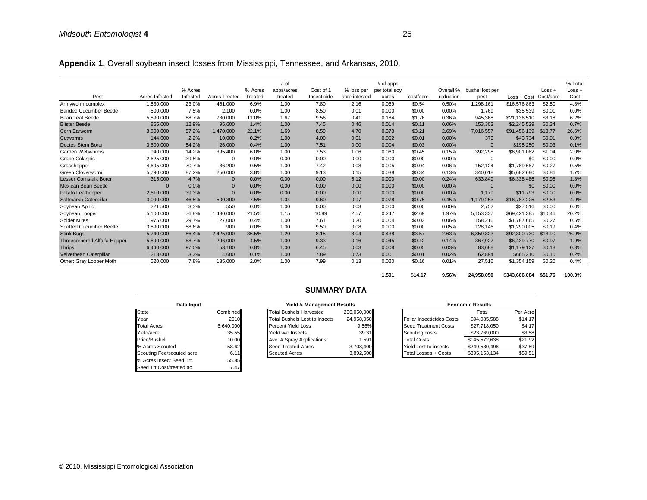Appendix 1. Overall soybean insect losses from Mississippi, Tennessee, and Arkansas, 2010.

|                                     |                |          |                      |         | # of       |             |               | # of apps     |           |           |                 |               |           | % Total  |
|-------------------------------------|----------------|----------|----------------------|---------|------------|-------------|---------------|---------------|-----------|-----------|-----------------|---------------|-----------|----------|
|                                     |                | % Acres  |                      | % Acres | apps/acres | Cost of 1   | % loss per    | per total soy |           | Overall % | bushel lost per |               | $Loss +$  | $Loss +$ |
| Pest                                | Acres Infested | Infested | <b>Acres Treated</b> | Treated | treated    | Insecticide | acre infested | acres         | cost/acre | reduction | pest            | $Loss + Cost$ | Cost/acre | Cost     |
| Armyworm complex                    | 1,530,000      | 23.0%    | 461.000              | 6.9%    | 1.00       | 7.80        | 2.16          | 0.069         | \$0.54    | 0.50%     | 1.298.161       | \$16,576,863  | \$2.50    | 4.8%     |
| <b>Banded Cucumber Beetle</b>       | 500,000        | 7.5%     | 2.100                | 0.0%    | 1.00       | 8.50        | 0.01          | 0.000         | \$0.00    | 0.00%     | 1,769           | \$35,539      | \$0.01    | 0.0%     |
| Bean Leaf Beetle                    | 5,890,000      | 88.7%    | 730,000              | 11.0%   | 1.67       | 9.56        | 0.41          | 0.184         | \$1.76    | 0.36%     | 945.368         | \$21,136,510  | \$3.18    | 6.2%     |
| <b>Blister Beetle</b>               | 855,000        | 12.9%    | 95.600               | 1.4%    | 1.00       | 7.45        | 0.46          | 0.014         | \$0.11    | 0.06%     | 153,303         | \$2,245.529   | \$0.34    | 0.7%     |
| Corn Earworm                        | 3,800,000      | 57.2%    | 1,470,000            | 22.1%   | 1.69       | 8.59        | 4.70          | 0.373         | \$3.21    | 2.69%     | 7,016,557       | \$91.456.139  | \$13.77   | 26.6%    |
| Cutworms                            | 144,000        | 2.2%     | 10,000               | 0.2%    | 1.00       | 4.00        | 0.01          | 0.002         | \$0.01    | 0.00%     | 373             | \$43,734      | \$0.01    | 0.0%     |
| <b>Dectes Stem Borer</b>            | 3,600,000      | 54.2%    | 26,000               | 0.4%    | 1.00       | 7.51        | 0.00          | 0.004         | \$0.03    | 0.00%     | $\Omega$        | \$195,250     | \$0.03    | 0.1%     |
| Garden Webworms                     | 940,000        | 14.2%    | 395.400              | 6.0%    | 1.00       | 7.53        | 1.06          | 0.060         | \$0.45    | 0.15%     | 392,298         | \$6,901,082   | \$1.04    | 2.0%     |
| Grape Colaspis                      | 2,625,000      | 39.5%    | $\Omega$             | 0.0%    | 0.00       | 0.00        | 0.00          | 0.000         | \$0.00    | 0.00%     | $\mathbf 0$     | \$0           | \$0.00    | 0.0%     |
| Grasshopper                         | 4,695,000      | 70.7%    | 36,200               | 0.5%    | 1.00       | 7.42        | 0.08          | 0.005         | \$0.04    | 0.06%     | 152,124         | \$1,789,687   | \$0.27    | 0.5%     |
| Green Cloverworm                    | 5.790.000      | 87.2%    | 250.000              | 3.8%    | 1.00       | 9.13        | 0.15          | 0.038         | \$0.34    | 0.13%     | 340.018         | \$5,682,680   | \$0.86    | 1.7%     |
| <b>Lesser Cornstalk Borer</b>       | 315,000        | 4.7%     | $\mathbf{0}$         | 0.0%    | 0.00       | 0.00        | 5.12          | 0.000         | \$0.00    | 0.24%     | 633,849         | \$6,338,486   | \$0.95    | 1.8%     |
| <b>Mexican Bean Beetle</b>          | $\Omega$       | 0.0%     | $\mathbf{0}$         | 0.0%    | 0.00       | 0.00        | 0.00          | 0.000         | \$0.00    | 0.00%     | $\mathbf{0}$    | \$0           | \$0.00    | 0.0%     |
| Potato Leafhopper                   | 2,610,000      | 39.3%    | $\Omega$             | 0.0%    | 0.00       | 0.00        | 0.00          | 0.000         | \$0.00    | 0.00%     | 1,179           | \$11,793      | \$0.00    | 0.0%     |
| Saltmarsh Caterpillar               | 3,090,000      | 46.5%    | 500,300              | 7.5%    | 1.04       | 9.60        | 0.97          | 0.078         | \$0.75    | 0.45%     | 1,179,253       | \$16,787,225  | \$2.53    | 4.9%     |
| Soybean Aphid                       | 221.500        | 3.3%     | 550                  | 0.0%    | 1.00       | 0.00        | 0.03          | 0.000         | \$0.00    | 0.00%     | 2.752           | \$27,516      | \$0.00    | 0.0%     |
| Soybean Looper                      | 5,100,000      | 76.8%    | 1,430,000            | 21.5%   | 1.15       | 10.89       | 2.57          | 0.247         | \$2.69    | 1.97%     | 5,153,337       | \$69,421,385  | \$10.46   | 20.2%    |
| <b>Spider Mites</b>                 | 1,975,000      | 29.7%    | 27,000               | 0.4%    | 1.00       | 7.61        | 0.20          | 0.004         | \$0.03    | 0.06%     | 158.216         | \$1,787,665   | \$0.27    | 0.5%     |
| Spotted Cucumber Beetle             | 3,890,000      | 58.6%    | 900                  | 0.0%    | 1.00       | 9.50        | 0.08          | 0.000         | \$0.00    | 0.05%     | 128.146         | \$1,290,005   | \$0.19    | 0.4%     |
| <b>Stink Bugs</b>                   | 5,740,000      | 86.4%    | 2,425,000            | 36.5%   | 1.20       | 8.15        | 3.04          | 0.438         | \$3.57    | 2.63%     | 6,859,323       | \$92,300,730  | \$13.90   | 26.9%    |
| <b>Threecornered Alfalfa Hopper</b> | 5,890,000      | 88.7%    | 296,000              | 4.5%    | 1.00       | 9.33        | 0.16          | 0.045         | \$0.42    | 0.14%     | 367,927         | \$6,439,770   | \$0.97    | 1.9%     |
| <b>Thrips</b>                       | 6,440,000      | 97.0%    | 53.100               | 0.8%    | 1.00       | 6.45        | 0.03          | 0.008         | \$0.05    | 0.03%     | 83,688          | \$1,179,127   | \$0.18    | 0.3%     |
| Velvetbean Caterpillar              | 218,000        | 3.3%     | 4,600                | 0.1%    | 1.00       | 7.89        | 0.73          | 0.001         | \$0.01    | 0.02%     | 62,894          | \$665,210     | \$0.10    | 0.2%     |
| Other: Gray Looper Moth             | 520,000        | 7.8%     | 135,000              | 2.0%    | 1.00       | 7.99        | 0.13          | 0.020         | \$0.16    | 0.01%     | 27,516          | \$1,354,159   | \$0.20    | 0.4%     |

**1.591 \$14.17 9.56% 24,958,050 \$343,666,084 \$51.76 100.0%**

| Data Input                |           |  |  |  |  |  |  |  |  |  |
|---------------------------|-----------|--|--|--|--|--|--|--|--|--|
| <b>State</b>              | Combined  |  |  |  |  |  |  |  |  |  |
| Year                      | 2010      |  |  |  |  |  |  |  |  |  |
| <b>Total Acres</b>        | 6,640,000 |  |  |  |  |  |  |  |  |  |
| Yield/acre                | 35.55     |  |  |  |  |  |  |  |  |  |
| Price/Bushel              | 10.00     |  |  |  |  |  |  |  |  |  |
| % Acres Scouted           | 58.62     |  |  |  |  |  |  |  |  |  |
| Scouting Fee/scouted acre | 6.11      |  |  |  |  |  |  |  |  |  |
| % Acres Insect Seed Trt.  | 55.85     |  |  |  |  |  |  |  |  |  |
| Seed Trt Cost/treated ac  | 7.47      |  |  |  |  |  |  |  |  |  |

# **SUMMARY DATA**

| Data Input |           | <b>Yield &amp; Management Results</b> |             |                                  | <b>Economic Results</b> |
|------------|-----------|---------------------------------------|-------------|----------------------------------|-------------------------|
|            | Combined  | <b>Total Bushels Harvested</b>        | 236.050.000 |                                  | Total                   |
|            | 2010      | <b>Total Bushels Lost to Insects</b>  | 24.958.050  | <b>Foliar Insecticides Costs</b> | \$94,085,5              |
|            | 6.640.000 | Percent Yield Loss                    | 9.56%       | <b>Seed Treatment Costs</b>      | \$27,718,0              |
|            | 35.55     | Yield w/o Insects                     | 39.31       | Scouting costs                   | \$23,769,0              |
|            | 10.00     | Ave. # Spray Applications             | 1.591       | <b>Total Costs</b>               | \$145,572,6             |
|            | 58.62     | Seed Treated Acres                    | 3.708.400   | Yield Lost to insects            | \$249.580.4             |
| uted acre  | 6.11      | <b>Scouted Acres</b>                  | 3,892,500   | Total Losses + Costs             | \$395.153.1             |
|            | -- --     |                                       |             |                                  |                         |

| Data Input                |           | <b>Yield &amp; Management Results</b> |             | <b>Economic Results</b> |                                  |               |          |
|---------------------------|-----------|---------------------------------------|-------------|-------------------------|----------------------------------|---------------|----------|
| <b>State</b>              | Combined  | <b>Total Bushels Harvested</b>        | 236.050.000 |                         |                                  | Total         | Per Acre |
| Year                      | 2010      | <b>Total Bushels Lost to Insects</b>  | 24.958.050  |                         | <b>Foliar Insecticides Costs</b> | \$94.085.588  | \$14.17  |
| <b>Total Acres</b>        | 6,640,000 | <b>Percent Yield Loss</b>             | 9.56%       |                         | Seed Treatment Costs             | \$27.718.050  | \$4.17   |
| Yield/acre                | 35.55     | Yield w/o Insects                     | 39.31       |                         | Scouting costs                   | \$23,769,000  | \$3.58   |
| Price/Bushel              | 10.00     | Ave. # Spray Applications             | 1.591       |                         | <b>Total Costs</b>               | \$145,572,638 | \$21.92  |
| % Acres Scouted           | 58.62     | Seed Treated Acres                    | 3.708.400   |                         | Yield Lost to insects            | \$249.580.496 | \$37.59  |
| Scouting Fee/scouted acre | 6.11      | <b>Scouted Acres</b>                  | 3,892,500   |                         | Total Losses + Costs             | \$395.153.134 | \$59.51  |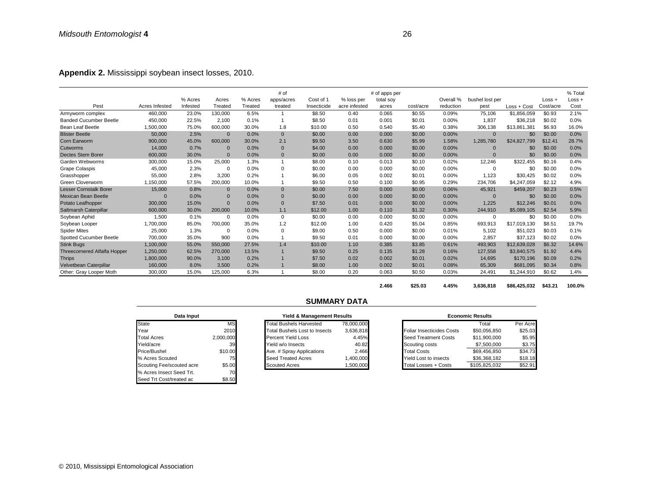**Appendix 2.** Mississippi soybean insect losses, 2010.

|                                     |                |          |              |         | # of           |             |               | # of apps per |           |           |                 |              |           | % Total |
|-------------------------------------|----------------|----------|--------------|---------|----------------|-------------|---------------|---------------|-----------|-----------|-----------------|--------------|-----------|---------|
|                                     |                | % Acres  | Acres        | % Acres | apps/acres     | Cost of 1   | % loss per    | total soy     |           | Overall % | bushel lost per |              | $Loss +$  | Loss +  |
| Pest                                | Acres Infested | Infested | Treated      | Treated | treated        | Insecticide | acre infested | acres         | cost/acre | reduction | pest            | Loss + Cost  | Cost/acre | Cost    |
| Armyworm complex                    | 460,000        | 23.0%    | 130,000      | 6.5%    | $\mathbf{1}$   | \$8.50      | 0.40          | 0.065         | \$0.55    | 0.09%     | 75,106          | \$1,856,059  | \$0.93    | 2.1%    |
| <b>Banded Cucumber Beetle</b>       | 450,000        | 22.5%    | 2,100        | 0.1%    |                | \$8.50      | 0.01          | 0.001         | \$0.01    | 0.00%     | 1.837           | \$36,218     | \$0.02    | 0.0%    |
| Bean Leaf Beetle                    | 1,500,000      | 75.0%    | 600,000      | 30.0%   | 1.8            | \$10.00     | 0.50          | 0.540         | \$5.40    | 0.38%     | 306,138         | \$13,861,381 | \$6.93    | 16.0%   |
| <b>Blister Beetle</b>               | 50,000         | 2.5%     | $\Omega$     | 0.0%    | $\mathbf{0}$   | \$0.00      | 0.00          | 0.000         | \$0.00    | 0.00%     | $\Omega$        | \$0          | \$0.00    | 0.0%    |
| <b>Corn Earworm</b>                 | 900,000        | 45.0%    | 600,000      | 30.0%   | 2.1            | \$9.50      | 3.50          | 0.630         | \$5.99    | 1.58%     | 1,285,780       | \$24,827,799 | \$12.41   | 28.7%   |
| Cutworms                            | 14,000         | 0.7%     | $\Omega$     | 0.0%    | $\Omega$       | \$4.00      | 0.00          | 0.000         | \$0.00    | 0.00%     | $\Omega$        | \$0          | \$0.00    | 0.0%    |
| <b>Dectes Stem Borer</b>            | 600,000        | 30.0%    | $\Omega$     | 0.0%    | $\mathbf 0$    | \$0.00      | 0.00          | 0.000         | \$0.00    | 0.00%     | $\Omega$        | \$0          | \$0.00    | 0.0%    |
| Garden Webworms                     | 300.000        | 15.0%    | 25.000       | 1.3%    | $\overline{1}$ | \$8.00      | 0.10          | 0.013         | \$0.10    | 0.02%     | 12.246          | \$322,455    | \$0.16    | 0.4%    |
| <b>Grape Colaspis</b>               | 45,000         | 2.3%     | $\Omega$     | 0.0%    | $\Omega$       | \$0.00      | 0.00          | 0.000         | \$0.00    | 0.00%     | $\Omega$        | \$0          | \$0.00    | 0.0%    |
| Grasshopper                         | 55,000         | 2.8%     | 3.200        | 0.2%    |                | \$6.00      | 0.05          | 0.002         | \$0.01    | 0.00%     | 1.123           | \$30.425     | \$0.02    | 0.0%    |
| <b>Green Cloverworm</b>             | 1.150.000      | 57.5%    | 200.000      | 10.0%   |                | \$9.50      | 0.50          | 0.100         | \$0.95    | 0.29%     | 234.706         | \$4,247,059  | \$2.12    | 4.9%    |
| <b>Lesser Cornstalk Borer</b>       | 15,000         | 0.8%     | $\mathbf{0}$ | 0.0%    | $\mathbf{0}$   | \$0.00      | 7.50          | 0.000         | \$0.00    | 0.06%     | 45,921          | \$459,207    | \$0.23    | 0.5%    |
| <b>Mexican Bean Beetle</b>          | $\Omega$       | 0.0%     | $\Omega$     | 0.0%    | $\mathbf 0$    | \$0.00      | 0.00          | 0.000         | \$0.00    | 0.00%     | $\Omega$        | \$0          | \$0.00    | 0.0%    |
| Potato Leafhopper                   | 300.000        | 15.0%    | $\Omega$     | 0.0%    | $\Omega$       | \$7.50      | 0.01          | 0.000         | \$0.00    | 0.00%     | 1.225           | \$12,246     | \$0.01    | 0.0%    |
| Saltmarsh Caterpillar               | 600,000        | 30.0%    | 200,000      | 10.0%   | 1.1            | \$12.00     | 1.00          | 0.110         | \$1.32    | 0.30%     | 244,910         | \$5,089,105  | \$2.54    | 5.9%    |
| Soybean Aphid                       | 1.500          | 0.1%     | $\Omega$     | 0.0%    | $\mathbf 0$    | \$0.00      | 0.00          | 0.000         | \$0.00    | 0.00%     | $\Omega$        | \$0          | \$0.00    | 0.0%    |
| Soybean Looper                      | 1.700.000      | 85.0%    | 700.000      | 35.0%   | 1.2            | \$12.00     | 1.00          | 0.420         | \$5.04    | 0.85%     | 693.913         | \$17.019.130 | \$8.51    | 19.7%   |
| <b>Spider Mites</b>                 | 25,000         | 1.3%     | 0            | 0.0%    | $\mathbf 0$    | \$9.00      | 0.50          | 0.000         | \$0.00    | 0.01%     | 5,102           | \$51,023     | \$0.03    | 0.1%    |
| Spotted Cucumber Beetle             | 700.000        | 35.0%    | 900          | 0.0%    |                | \$9.50      | 0.01          | 0.000         | \$0.00    | 0.00%     | 2,857           | \$37.123     | \$0.02    | 0.0%    |
| <b>Stink Bugs</b>                   | 1.100.000      | 55.0%    | 550,000      | 27.5%   | 1.4            | \$10.00     | 1.10          | 0.385         | \$3.85    | 0.61%     | 493.903         | \$12,639,028 | \$6.32    | 14.6%   |
| <b>Threecornered Alfalfa Hopper</b> | 1,250,000      | 62.5%    | 270,000      | 13.5%   |                | \$9.50      | 0.25          | 0.135         | \$1.28    | 0.16%     | 127,558         | \$3,840,575  | \$1.92    | 4.4%    |
| <b>Thrips</b>                       | 1,800,000      | 90.0%    | 3.100        | 0.2%    |                | \$7.50      | 0.02          | 0.002         | \$0.01    | 0.02%     | 14.695          | \$170,196    | \$0.09    | 0.2%    |
| Velvetbean Caterpillar              | 160,000        | 8.0%     | 3.500        | 0.2%    |                | \$8.00      | 1.00          | 0.002         | \$0.01    | 0.08%     | 65,309          | \$681,095    | \$0.34    | 0.8%    |
| Other: Gray Looper Moth             | 300,000        | 15.0%    | 125.000      | 6.3%    |                | \$8.00      | 0.20          | 0.063         | \$0.50    | 0.03%     | 24,491          | \$1,244,910  | \$0.62    | 1.4%    |

**2.466 \$25.03 4.45% 3,636,818 \$86,425,032 \$43.21 100.0%**

| Data Input                |           |
|---------------------------|-----------|
| State                     | ΜS        |
| Year                      | 2010      |
| <b>Total Acres</b>        | 2,000,000 |
| Yield/acre                | 39        |
| Price/Bushel              | \$10.00   |
| % Acres Scouted           | 75        |
| Scouting Fee/scouted acre | \$5.00    |
| % Acres Insect Seed Trt.  | 70        |
| Seed Trt Cost/treated ac  |           |

# **SUMMARY DATA**

| Data Input                |           |                                | Yield & Management Results           |            | <b>Economic Results</b> |                                  |               |          |  |
|---------------------------|-----------|--------------------------------|--------------------------------------|------------|-------------------------|----------------------------------|---------------|----------|--|
| State                     | MS        | <b>Total Bushels Harvested</b> |                                      | 78.000.000 |                         |                                  | Total         | Per Acre |  |
| Year                      | 2010      |                                | <b>Total Bushels Lost to Insects</b> | 3.636.818  |                         | <b>Foliar Insecticides Costs</b> | \$50.056.850  | \$25.03  |  |
| <b>Total Acres</b>        | 2.000.000 | Percent Yield Loss             |                                      | 4.45%      |                         | Seed Treatment Costs             | \$11,900,000  | \$5.95   |  |
| Yield/acre                | 39        | Yield w/o Insects              |                                      | 40.82      |                         | Scouting costs                   | \$7,500,000   | \$3.75   |  |
| Price/Bushel              | \$10.00   | Ave. # Spray Applications      |                                      | 2.466      |                         | <b>Total Costs</b>               | \$69,456,850  | \$34.73  |  |
| % Acres Scouted           | 75        | Seed Treated Acres             |                                      | 1.400.000  |                         | <b>Yield Lost to insects</b>     | \$36,368,182  | \$18.18  |  |
| Scouting Fee/scouted acre | \$5.00    | Scouted Acres                  |                                      | 1.500.000  |                         | Total Losses + Costs             | \$105.825.032 | \$52.91  |  |
|                           |           |                                |                                      |            |                         |                                  |               |          |  |

| <b>Economic Results</b>  |               |          |  |  |  |  |  |  |  |  |  |
|--------------------------|---------------|----------|--|--|--|--|--|--|--|--|--|
|                          | Total         | Per Acre |  |  |  |  |  |  |  |  |  |
| oliar Insecticides Costs | \$50,056,850  | \$25.03  |  |  |  |  |  |  |  |  |  |
| eed Treatment Costs      | \$11,900,000  | \$5.95   |  |  |  |  |  |  |  |  |  |
| couting costs            | \$7,500,000   | \$3.75   |  |  |  |  |  |  |  |  |  |
| otal Costs               | \$69,456,850  | \$34.73  |  |  |  |  |  |  |  |  |  |
| ield Lost to insects     | \$36,368,182  | \$18.18  |  |  |  |  |  |  |  |  |  |
| otal Losses + Costs      | \$105.825.032 | \$52.91  |  |  |  |  |  |  |  |  |  |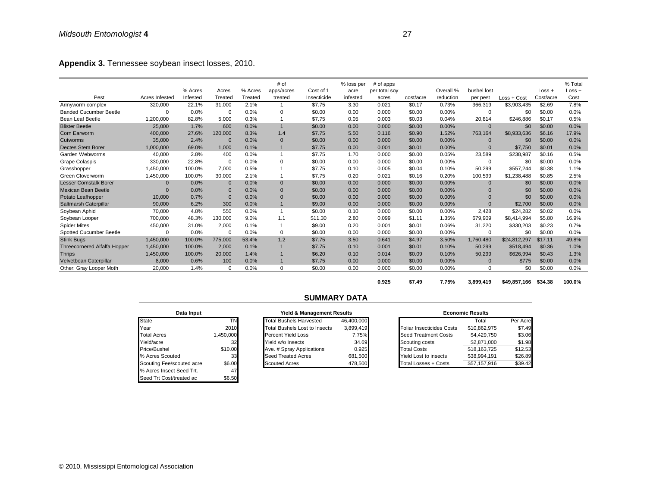**Appendix 3.** Tennessee soybean insect losses, 2010.

| Pest                                | Acres Infested | % Acres<br>Infested | Acres<br>Treated | % Acres<br>Treated | # of<br>apps/acres<br>treated | Cost of 1<br>Insecticide | % loss per<br>acre<br>infested | $#$ of apps<br>per total soy<br>acres | cost/acre | Overall %<br>reduction | bushel lost<br>per pest | Loss + Cost  | $Loss +$<br>Cost/acre | % Total<br>$Loss +$<br>Cost |
|-------------------------------------|----------------|---------------------|------------------|--------------------|-------------------------------|--------------------------|--------------------------------|---------------------------------------|-----------|------------------------|-------------------------|--------------|-----------------------|-----------------------------|
| Armyworm complex                    | 320,000        | 22.1%               | 31,000           | 2.1%               |                               | \$7.75                   | 3.30                           | 0.021                                 | \$0.17    | 0.73%                  | 366,319                 | \$3,903,435  | \$2.69                | 7.8%                        |
| <b>Banded Cucumber Beetle</b>       | 0              | 0.0%                | 0                | 0.0%               | 0                             | \$0.00                   | 0.00                           | 0.000                                 | \$0.00    | $0.00\%$               | 0                       | \$0          | \$0.00                | 0.0%                        |
| <b>Bean Leaf Beetle</b>             | 1,200,000      | 82.8%               | 5.000            | 0.3%               |                               | \$7.75                   | 0.05                           | 0.003                                 | \$0.03    | 0.04%                  | 20,814                  | \$246.886    | \$0.17                | 0.5%                        |
| <b>Blister Beetle</b>               | 25,000         | 1.7%                | 600              | 0.0%               | $\overline{1}$                | \$0.00                   | 0.00                           | 0.000                                 | \$0.00    | 0.00%                  | $\Omega$                | \$0          | \$0.00                | 0.0%                        |
| <b>Corn Earworm</b>                 | 400,000        | 27.6%               | 120,000          | 8.3%               | 1.4                           | \$7.75                   | 5.50                           | 0.116                                 | \$0.90    | 1.52%                  | 763,164                 | \$8,933,636  | \$6.16                | 17.9%                       |
| Cutworms                            | 35,000         | 2.4%                | $\mathbf{0}$     | 0.0%               | $\mathbf{0}$                  | \$0.00                   | 0.00                           | 0.000                                 | \$0.00    | 0.00%                  | $\Omega$                | \$0          | \$0.00                | 0.0%                        |
| <b>Dectes Stem Borer</b>            | 1,000,000      | 69.0%               | 1,000            | 0.1%               |                               | \$7.75                   | 0.00                           | 0.001                                 | \$0.01    | 0.00%                  | $\Omega$                | \$7,750      | \$0.01                | 0.0%                        |
| Garden Webworms                     | 40,000         | 2.8%                | 400              | 0.0%               |                               | \$7.75                   | 1.70                           | 0.000                                 | \$0.00    | 0.05%                  | 23,589                  | \$238,987    | \$0.16                | 0.5%                        |
| <b>Grape Colaspis</b>               | 330,000        | 22.8%               | 0                | 0.0%               | 0                             | \$0.00                   | 0.00                           | 0.000                                 | \$0.00    | 0.00%                  | 0                       | \$0          | \$0.00                | 0.0%                        |
| Grasshopper                         | 1,450,000      | 100.0%              | 7,000            | 0.5%               |                               | \$7.75                   | 0.10                           | 0.005                                 | \$0.04    | 0.10%                  | 50,299                  | \$557,244    | \$0.38                | 1.1%                        |
| Green Cloverworm                    | 1,450,000      | 100.0%              | 30,000           | 2.1%               |                               | \$7.75                   | 0.20                           | 0.021                                 | \$0.16    | 0.20%                  | 100,599                 | \$1,238,488  | \$0.85                | 2.5%                        |
| <b>Lesser Cornstalk Borer</b>       | $\Omega$       | 0.0%                | $\mathbf{0}$     | 0.0%               | $\mathbf{0}$                  | \$0.00                   | 0.00                           | 0.000                                 | \$0.00    | 0.00%                  | $\Omega$                | \$0          | \$0.00                | 0.0%                        |
| <b>Mexican Bean Beetle</b>          | $\Omega$       | 0.0%                | $\mathbf{0}$     | 0.0%               | $\mathbf{0}$                  | \$0.00                   | 0.00                           | 0.000                                 | \$0.00    | 0.00%                  | $\Omega$                | \$0          | \$0.00                | 0.0%                        |
| Potato Leafhopper                   | 10,000         | 0.7%                | $\mathbf{0}$     | 0.0%               | $\mathbf{0}$                  | \$0.00                   | 0.00                           | 0.000                                 | \$0.00    | 0.00%                  | $\Omega$                | \$0          | \$0.00                | 0.0%                        |
| Saltmarsh Caterpillar               | 90,000         | 6.2%                | 300              | 0.0%               |                               | \$9.00                   | 0.00                           | 0.000                                 | \$0.00    | 0.00%                  | $\Omega$                | \$2,700      | \$0.00                | 0.0%                        |
| Soybean Aphid                       | 70.000         | 4.8%                | 550              | 0.0%               |                               | \$0.00                   | 0.10                           | 0.000                                 | \$0.00    | 0.00%                  | 2.428                   | \$24,282     | \$0.02                | 0.0%                        |
| Soybean Looper                      | 700,000        | 48.3%               | 130,000          | 9.0%               | 1.1                           | \$11.30                  | 2.80                           | 0.099                                 | \$1.11    | 1.35%                  | 679,909                 | \$8,414,994  | \$5.80                | 16.9%                       |
| <b>Spider Mites</b>                 | 450,000        | 31.0%               | 2,000            | 0.1%               |                               | \$9.00                   | 0.20                           | 0.001                                 | \$0.01    | 0.06%                  | 31,220                  | \$330,203    | \$0.23                | 0.7%                        |
| <b>Spotted Cucumber Beetle</b>      | $\Omega$       | 0.0%                | 0                | 0.0%               | 0                             | \$0.00                   | 0.00                           | 0.000                                 | \$0.00    | 0.00%                  | 0                       | \$0          | \$0.00                | 0.0%                        |
| <b>Stink Bugs</b>                   | 1,450,000      | 100.0%              | 775,000          | 53.4%              | 1.2                           | \$7.75                   | 3.50                           | 0.641                                 | \$4.97    | 3.50%                  | 1,760,480               | \$24,812,297 | \$17.11               | 49.8%                       |
| <b>Threecornered Alfalfa Hopper</b> | 1,450,000      | 100.0%              | 2,000            | 0.1%               |                               | \$7.75                   | 0.10                           | 0.001                                 | \$0.01    | 0.10%                  | 50,299                  | \$518,494    | \$0.36                | 1.0%                        |
| <b>Thrips</b>                       | 1,450,000      | 100.0%              | 20,000           | 1.4%               |                               | \$6.20                   | 0.10                           | 0.014                                 | \$0.09    | 0.10%                  | 50,299                  | \$626,994    | \$0.43                | 1.3%                        |
| Velvetbean Caterpillar              | 8,000          | 0.6%                | 100              | 0.0%               |                               | \$7.75                   | 0.00                           | 0.000                                 | \$0.00    | 0.00%                  | $\mathbf{0}$            | \$775        | \$0.00                | 0.0%                        |
| Other: Gray Looper Moth             | 20,000         | 1.4%                | $\mathbf 0$      | 0.0%               | 0                             | \$0.00                   | 0.00                           | 0.000                                 | \$0.00    | 0.00%                  | $\Omega$                | \$0          | \$0.00                | 0.0%                        |

**0.925 \$7.49 7.75% 3,899,419 \$49,857,166 \$34.38 100.0%**

| Data Input                | Yield & Management |                                      |  |
|---------------------------|--------------------|--------------------------------------|--|
| <b>State</b>              | TN                 | <b>Total Bushels Harvested</b>       |  |
| Year                      | 2010               | <b>Total Bushels Lost to Insects</b> |  |
| <b>Total Acres</b>        | 1,450,000          | <b>Percent Yield Loss</b>            |  |
| Yield/acre                | 32                 | Yield w/o Insects                    |  |
| Price/Bushel              | \$10.00            | Ave. # Spray Applications            |  |
| % Acres Scouted           | 33                 | <b>Seed Treated Acres</b>            |  |
| Scouting Fee/scouted acre | \$6.00             | <b>Scouted Acres</b>                 |  |
| % Acres Insect Seed Trt.  | 47                 |                                      |  |
| Seed Trt Cost/treated ac  | \$6.50             |                                      |  |

# **SUMMARY DATA**

| Data Input                |          | Yield & Management Results           |            | <b>Economic Results</b> |                                  |              |          |
|---------------------------|----------|--------------------------------------|------------|-------------------------|----------------------------------|--------------|----------|
| <b>State</b>              | TN.      | <b>Total Bushels Harvested</b>       | 46.400.000 |                         |                                  | Total        | Per Acre |
| Year                      | 2010     | <b>Total Bushels Lost to Insects</b> | 3.899.419  |                         | <b>Foliar Insecticides Costs</b> | \$10.862.975 | \$7.49   |
| <b>Total Acres</b>        | ,450,000 | Percent Yield Loss                   | 7.75%      |                         | <b>Seed Treatment Costs</b>      | \$4.429.750  | \$3.06   |
| Yield/acre                | 32       | Yield w/o Insects                    | 34.69      |                         | Scouting costs                   | \$2,871,000  | \$1.98   |
| Price/Bushel              | \$10.00  | Ave. # Spray Applications            | 0.925      |                         | <b>Total Costs</b>               | \$18,163,725 | \$12.53  |
| % Acres Scouted           | 33       | Seed Treated Acres                   | 681.500    |                         | Yield Lost to insects            | \$38.994.191 | \$26.89  |
| Scouting Fee/scouted acre | \$6.00   | <b>Scouted Acres</b>                 | 478,500    |                         | Total Losses + Costs             | \$57,157,916 | \$39.42  |